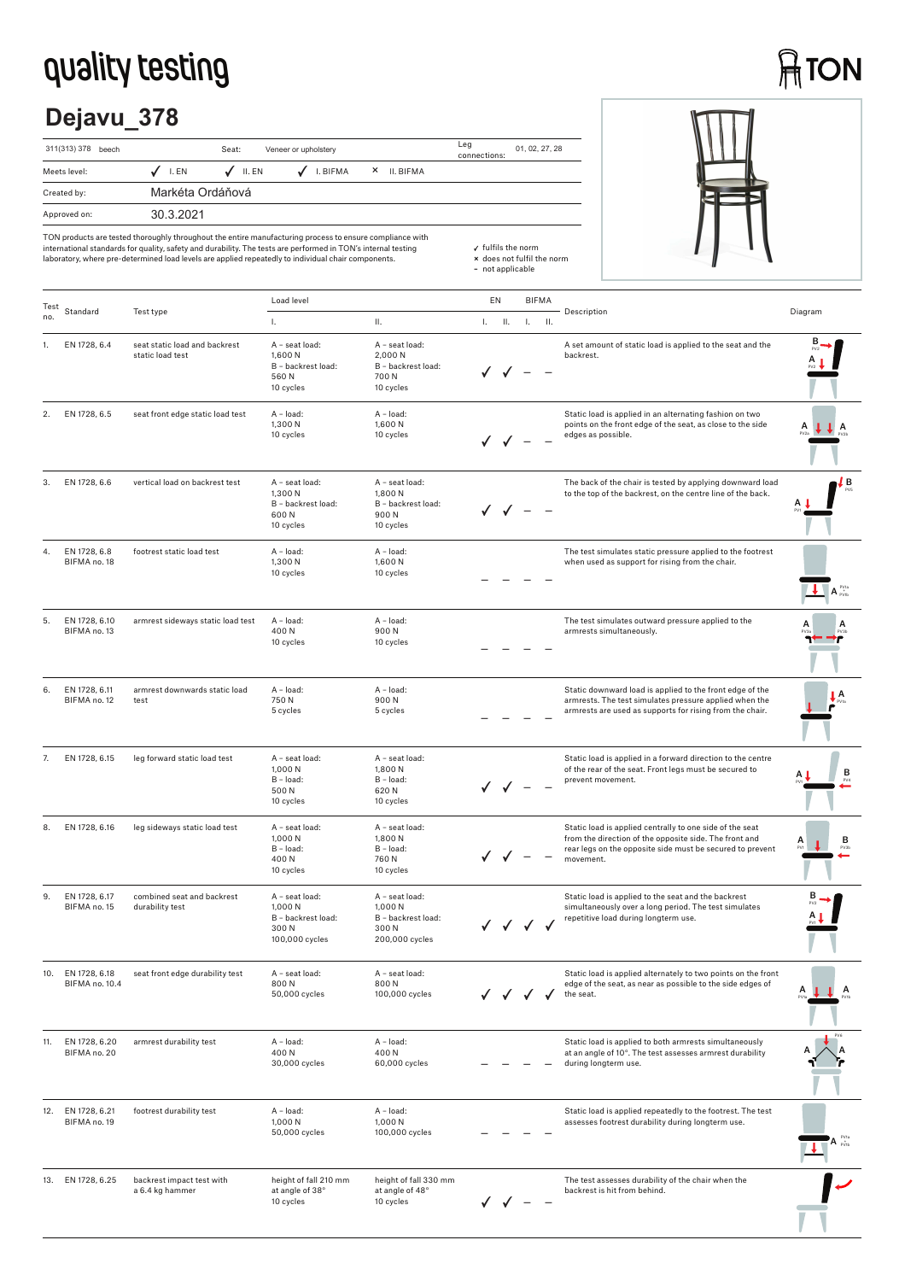## **quality testing**

# **ATON**

## **Dejavu\_378**





TON products are tested thoroughly throughout the entire manufacturing process to ensure compliance with international standards for quality, safety and durability. The tests are performed in TON's internal testing laboratory, where pre-determined load levels are applied repeatedly to individual chair components.

| Test |                                     |                                                   | Load level                                                                 |                                                                           | EN        |    | <b>BIFMA</b>    |                                                                                                                                                                                              |                                 |
|------|-------------------------------------|---------------------------------------------------|----------------------------------------------------------------------------|---------------------------------------------------------------------------|-----------|----|-----------------|----------------------------------------------------------------------------------------------------------------------------------------------------------------------------------------------|---------------------------------|
| no.  | Standard                            | Test type                                         | L.                                                                         | Ш.                                                                        | $L = H$ . | 1. | $\mathbf{II}$ . | Description                                                                                                                                                                                  | Diagram                         |
|      | EN 1728, 6.4                        | seat static load and backrest<br>static load test | A - seat load:<br>1.600 N<br>B - backrest load:<br>560N<br>10 cycles       | A - seat load:<br>2,000 N<br>B - backrest load:<br>700 N<br>10 cycles     |           |    |                 | A set amount of static load is applied to the seat and the<br>backrest.                                                                                                                      |                                 |
| 2.   | EN 1728, 6.5                        | seat front edge static load test                  | A - load:<br>1,300 N<br>10 cycles                                          | A - load:<br>1,600 N<br>10 cycles                                         |           |    |                 | Static load is applied in an alternating fashion on two<br>points on the front edge of the seat, as close to the side<br>edges as possible.                                                  |                                 |
| 3.   | EN 1728, 6.6                        | vertical load on backrest test                    | A - seat load:<br>1,300 N<br>B - backrest load:<br>600N<br>10 cycles       | A - seat load:<br>1.800 N<br>B - backrest load:<br>900N<br>10 cycles      |           |    |                 | The back of the chair is tested by applying downward load<br>to the top of the backrest, on the centre line of the back.                                                                     | LВ                              |
| 4.   | EN 1728, 6.8<br>BIFMA no. 18        | footrest static load test                         | A - load:<br>1,300 N<br>10 cycles                                          | A - load:<br>1,600 N<br>10 cycles                                         |           |    |                 | The test simulates static pressure applied to the footrest<br>when used as support for rising from the chair.                                                                                | $A_{\text{pvib}}^{\text{pvta}}$ |
| 5.   | EN 1728, 6.10<br>BIFMA no. 13       | armrest sideways static load test                 | $A - load$ :<br>400N<br>10 cycles                                          | A - load:<br>900N<br>10 cycles                                            |           |    |                 | The test simulates outward pressure applied to the<br>armrests simultaneously.                                                                                                               |                                 |
| 6.   | EN 1728, 6.11<br>BIFMA no. 12       | armrest downwards static load<br>test             | A - load:<br>750N<br>5 cycles                                              | A - load:<br>900N<br>5 cycles                                             |           |    |                 | Static downward load is applied to the front edge of the<br>armrests. The test simulates pressure applied when the<br>armrests are used as supports for rising from the chair.               | А                               |
| 7.   | EN 1728, 6.15                       | leg forward static load test                      | A - seat load:<br>1,000 N<br>$B - load:$<br>500N<br>10 cycles              | A - seat load:<br>1,800 N<br>B - load:<br>620 N<br>10 cycles              |           |    |                 | Static load is applied in a forward direction to the centre<br>of the rear of the seat. Front legs must be secured to<br>prevent movement.                                                   | в                               |
| 8.   | EN 1728, 6.16                       | leg sideways static load test                     | A - seat load:<br>1,000 N<br>$B - load:$<br>400N<br>10 cycles              | A - seat load:<br>1,800 N<br>B - load:<br>760 N<br>10 cycles              |           |    |                 | Static load is applied centrally to one side of the seat<br>from the direction of the opposite side. The front and<br>rear legs on the opposite side must be secured to prevent<br>movement. | в                               |
| 9.   | EN 1728, 6.17<br>BIFMA no. 15       | combined seat and backrest<br>durability test     | A - seat load:<br>1.000 N<br>B - backrest load:<br>300 N<br>100,000 cycles | A - seat load:<br>1.000 N<br>B - backrest load:<br>300N<br>200,000 cycles | V V V V   |    |                 | Static load is applied to the seat and the backrest<br>simultaneously over a long period. The test simulates<br>repetitive load during longterm use.                                         |                                 |
|      | 10. EN 1728, 6.18<br>BIFMA no. 10.4 | seat front edge durability test                   | A - seat load:<br>800N<br>50,000 cycles                                    | A - seat load:<br>800N<br>100,000 cycles                                  |           |    |                 | Static load is applied alternately to two points on the front<br>edge of the seat, as near as possible to the side edges of<br>the seat.                                                     | A                               |
| 11.  | EN 1728, 6.20<br>BIFMA no. 20       | armrest durability test                           | A - load:<br>400N<br>30,000 cycles                                         | $A - load:$<br>400N<br>60,000 cycles                                      |           |    |                 | Static load is applied to both armrests simultaneously<br>at an angle of 10°. The test assesses armrest durability<br>during longterm use.                                                   |                                 |
| 12.  | EN 1728, 6.21<br>BIFMA no. 19       | footrest durability test                          | A - load:<br>1,000 N<br>50,000 cycles                                      | A - load:<br>1.000 N<br>100,000 cycles                                    |           |    |                 | Static load is applied repeatedly to the footrest. The test<br>assesses footrest durability during longterm use.                                                                             |                                 |
| 13.  | EN 1728, 6.25                       | backrest impact test with<br>a 6.4 kg hammer      | height of fall 210 mm<br>at angle of 38°<br>10 cycles                      | height of fall 330 mm<br>at angle of 48°<br>10 cycles                     |           |    |                 | The test assesses durability of the chair when the<br>backrest is hit from behind.                                                                                                           |                                 |

 fulfils the norm **×** does not fulfil the norm **–** not applicable